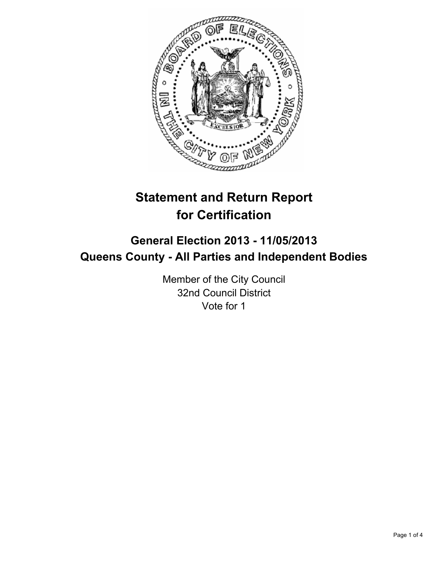

# **Statement and Return Report for Certification**

## **General Election 2013 - 11/05/2013 Queens County - All Parties and Independent Bodies**

Member of the City Council 32nd Council District Vote for 1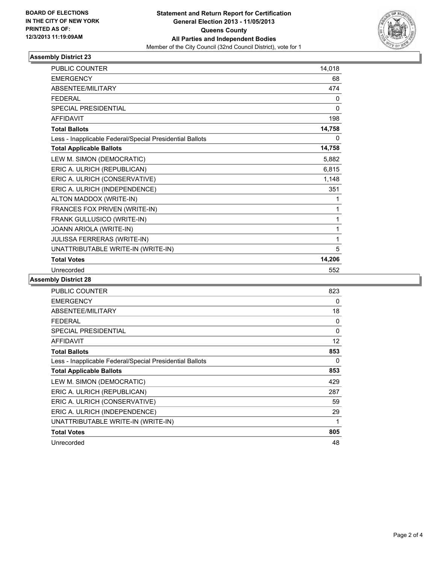

#### **Assembly District 23**

| PUBLIC COUNTER                                           | 14,018       |
|----------------------------------------------------------|--------------|
| <b>EMERGENCY</b>                                         | 68           |
| <b>ABSENTEE/MILITARY</b>                                 | 474          |
| <b>FFDFRAL</b>                                           | 0            |
| <b>SPECIAL PRESIDENTIAL</b>                              | 0            |
| <b>AFFIDAVIT</b>                                         | 198          |
| <b>Total Ballots</b>                                     | 14,758       |
| Less - Inapplicable Federal/Special Presidential Ballots | $\mathbf{0}$ |
| <b>Total Applicable Ballots</b>                          | 14,758       |
| LEW M. SIMON (DEMOCRATIC)                                | 5,882        |
| ERIC A. ULRICH (REPUBLICAN)                              | 6,815        |
| ERIC A. ULRICH (CONSERVATIVE)                            | 1,148        |
| ERIC A. ULRICH (INDEPENDENCE)                            | 351          |
| ALTON MADDOX (WRITE-IN)                                  | 1            |
| FRANCES FOX PRIVEN (WRITE-IN)                            | 1            |
| FRANK GULLUSICO (WRITE-IN)                               | 1            |
| JOANN ARIOLA (WRITE-IN)                                  | 1            |
| JULISSA FERRERAS (WRITE-IN)                              | 1            |
| UNATTRIBUTABLE WRITE-IN (WRITE-IN)                       | 5            |
| <b>Total Votes</b>                                       | 14,206       |
| Unrecorded                                               | 552          |

#### **Assembly District 28**

| <b>PUBLIC COUNTER</b>                                    | 823          |
|----------------------------------------------------------|--------------|
| <b>EMERGENCY</b>                                         | 0            |
| ABSENTEE/MILITARY                                        | 18           |
| <b>FEDERAL</b>                                           | 0            |
| <b>SPECIAL PRESIDENTIAL</b>                              | $\mathbf{0}$ |
| AFFIDAVIT                                                | 12           |
| <b>Total Ballots</b>                                     | 853          |
| Less - Inapplicable Federal/Special Presidential Ballots | 0            |
| <b>Total Applicable Ballots</b>                          | 853          |
| LEW M. SIMON (DEMOCRATIC)                                | 429          |
| ERIC A. ULRICH (REPUBLICAN)                              | 287          |
| ERIC A. ULRICH (CONSERVATIVE)                            | 59           |
| ERIC A. ULRICH (INDEPENDENCE)                            | 29           |
| UNATTRIBUTABLE WRITE-IN (WRITE-IN)                       | 1            |
| <b>Total Votes</b>                                       | 805          |
| Unrecorded                                               | 48           |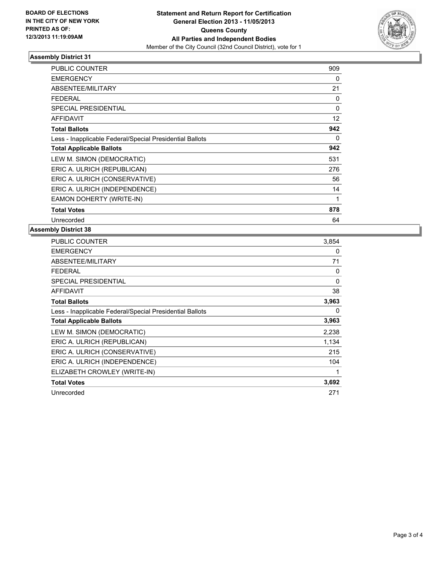

### **Assembly District 31**

| <b>PUBLIC COUNTER</b>                                    | 909      |
|----------------------------------------------------------|----------|
| <b>EMERGENCY</b>                                         | 0        |
| <b>ABSENTEE/MILITARY</b>                                 | 21       |
| <b>FEDERAL</b>                                           | 0        |
| <b>SPECIAL PRESIDENTIAL</b>                              | $\Omega$ |
| <b>AFFIDAVIT</b>                                         | 12       |
| <b>Total Ballots</b>                                     | 942      |
| Less - Inapplicable Federal/Special Presidential Ballots | 0        |
| <b>Total Applicable Ballots</b>                          | 942      |
| LEW M. SIMON (DEMOCRATIC)                                | 531      |
| ERIC A. ULRICH (REPUBLICAN)                              | 276      |
| ERIC A. ULRICH (CONSERVATIVE)                            | 56       |
| ERIC A. ULRICH (INDEPENDENCE)                            | 14       |
| EAMON DOHERTY (WRITE-IN)                                 | 1        |
| <b>Total Votes</b>                                       | 878      |
| Unrecorded                                               | 64       |

#### **Assembly District 38**

| <b>PUBLIC COUNTER</b>                                    | 3,854 |
|----------------------------------------------------------|-------|
| <b>EMERGENCY</b>                                         | 0     |
| ABSENTEE/MILITARY                                        | 71    |
| FEDERAL                                                  | 0     |
| <b>SPECIAL PRESIDENTIAL</b>                              | 0     |
| <b>AFFIDAVIT</b>                                         | 38    |
| <b>Total Ballots</b>                                     | 3,963 |
| Less - Inapplicable Federal/Special Presidential Ballots | 0     |
| <b>Total Applicable Ballots</b>                          | 3,963 |
| LEW M. SIMON (DEMOCRATIC)                                | 2,238 |
| ERIC A. ULRICH (REPUBLICAN)                              | 1,134 |
| ERIC A. ULRICH (CONSERVATIVE)                            | 215   |
| ERIC A. ULRICH (INDEPENDENCE)                            | 104   |
| ELIZABETH CROWLEY (WRITE-IN)                             | 1     |
|                                                          |       |
| <b>Total Votes</b>                                       | 3,692 |